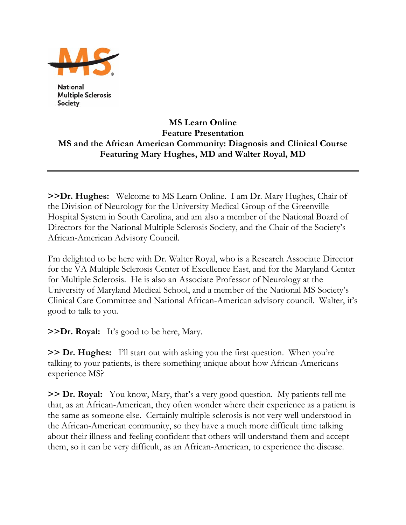

**National Multiple Sclerosis Society** 

## **MS Learn Online Feature Presentation MS and the African American Community: Diagnosis and Clinical Course Featuring Mary Hughes, MD and Walter Royal, MD**

**>>Dr. Hughes:** Welcome to MS Learn Online. I am Dr. Mary Hughes, Chair of the Division of Neurology for the University Medical Group of the Greenville Hospital System in South Carolina, and am also a member of the National Board of Directors for the National Multiple Sclerosis Society, and the Chair of the Society's African-American Advisory Council.

I'm delighted to be here with Dr. Walter Royal, who is a Research Associate Director for the VA Multiple Sclerosis Center of Excellence East, and for the Maryland Center for Multiple Sclerosis. He is also an Associate Professor of Neurology at the University of Maryland Medical School, and a member of the National MS Society's Clinical Care Committee and National African-American advisory council. Walter, it's good to talk to you.

**>>Dr. Royal:** It's good to be here, Mary.

**>> Dr. Hughes:** I'll start out with asking you the first question. When you're talking to your patients, is there something unique about how African-Americans experience MS?

**>> Dr. Royal:** You know, Mary, that's a very good question. My patients tell me that, as an African-American, they often wonder where their experience as a patient is the same as someone else. Certainly multiple sclerosis is not very well understood in the African-American community, so they have a much more difficult time talking about their illness and feeling confident that others will understand them and accept them, so it can be very difficult, as an African-American, to experience the disease.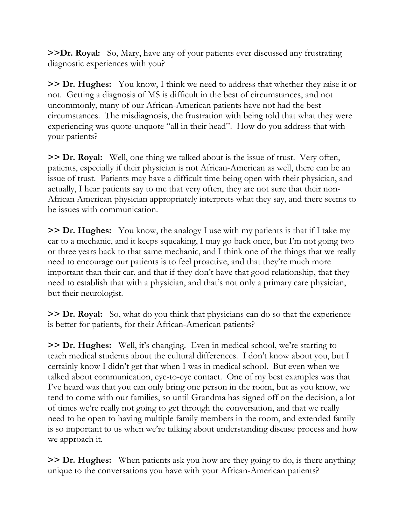**>>Dr. Royal:** So, Mary, have any of your patients ever discussed any frustrating diagnostic experiences with you?

**>> Dr. Hughes:** You know, I think we need to address that whether they raise it or not. Getting a diagnosis of MS is difficult in the best of circumstances, and not uncommonly, many of our African-American patients have not had the best circumstances. The misdiagnosis, the frustration with being told that what they were experiencing was quote-unquote "all in their head". How do you address that with your patients?

**>> Dr. Royal:** Well, one thing we talked about is the issue of trust. Very often, patients, especially if their physician is not African-American as well, there can be an issue of trust. Patients may have a difficult time being open with their physician, and actually, I hear patients say to me that very often, they are not sure that their non-African American physician appropriately interprets what they say, and there seems to be issues with communication.

**>> Dr. Hughes:** You know, the analogy I use with my patients is that if I take my car to a mechanic, and it keeps squeaking, I may go back once, but I'm not going two or three years back to that same mechanic, and I think one of the things that we really need to encourage our patients is to feel proactive, and that they're much more important than their car, and that if they don't have that good relationship, that they need to establish that with a physician, and that's not only a primary care physician, but their neurologist.

**>> Dr. Royal:** So, what do you think that physicians can do so that the experience is better for patients, for their African-American patients?

**>> Dr. Hughes:** Well, it's changing. Even in medical school, we're starting to teach medical students about the cultural differences. I don't know about you, but I certainly know I didn't get that when I was in medical school. But even when we talked about communication, eye-to-eye contact. One of my best examples was that I've heard was that you can only bring one person in the room, but as you know, we tend to come with our families, so until Grandma has signed off on the decision, a lot of times we're really not going to get through the conversation, and that we really need to be open to having multiple family members in the room, and extended family is so important to us when we're talking about understanding disease process and how we approach it.

**>> Dr. Hughes:** When patients ask you how are they going to do, is there anything unique to the conversations you have with your African-American patients?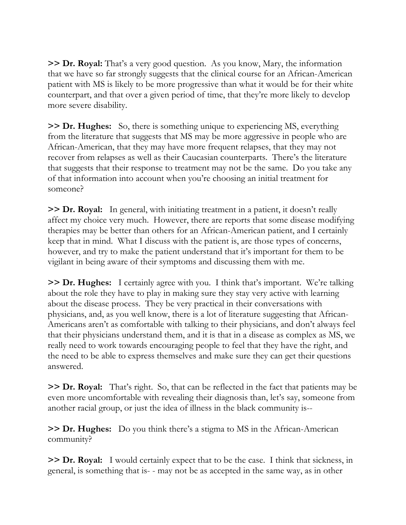**>> Dr. Royal:** That's a very good question. As you know, Mary, the information that we have so far strongly suggests that the clinical course for an African-American patient with MS is likely to be more progressive than what it would be for their white counterpart, and that over a given period of time, that they're more likely to develop more severe disability.

**>> Dr. Hughes:** So, there is something unique to experiencing MS, everything from the literature that suggests that MS may be more aggressive in people who are African-American, that they may have more frequent relapses, that they may not recover from relapses as well as their Caucasian counterparts. There's the literature that suggests that their response to treatment may not be the same. Do you take any of that information into account when you're choosing an initial treatment for someone?

**>> Dr. Royal:** In general, with initiating treatment in a patient, it doesn't really affect my choice very much. However, there are reports that some disease modifying therapies may be better than others for an African-American patient, and I certainly keep that in mind. What I discuss with the patient is, are those types of concerns, however, and try to make the patient understand that it's important for them to be vigilant in being aware of their symptoms and discussing them with me.

**>> Dr. Hughes:** I certainly agree with you. I think that's important. We're talking about the role they have to play in making sure they stay very active with learning about the disease process. They be very practical in their conversations with physicians, and, as you well know, there is a lot of literature suggesting that African-Americans aren't as comfortable with talking to their physicians, and don't always feel that their physicians understand them, and it is that in a disease as complex as MS, we really need to work towards encouraging people to feel that they have the right, and the need to be able to express themselves and make sure they can get their questions answered.

**>> Dr. Royal:** That's right. So, that can be reflected in the fact that patients may be even more uncomfortable with revealing their diagnosis than, let's say, someone from another racial group, or just the idea of illness in the black community is--

**>> Dr. Hughes:** Do you think there's a stigma to MS in the African-American community?

**>> Dr. Royal:** I would certainly expect that to be the case. I think that sickness, in general, is something that is- - may not be as accepted in the same way, as in other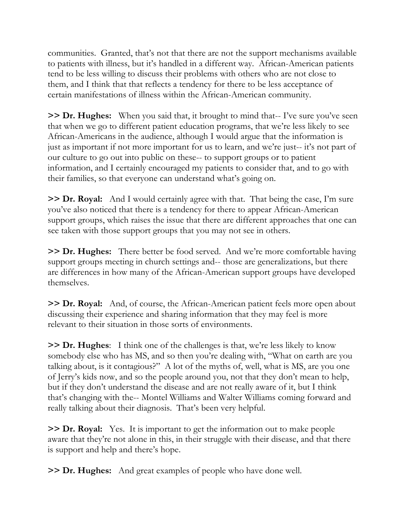communities. Granted, that's not that there are not the support mechanisms available to patients with illness, but it's handled in a different way. African-American patients tend to be less willing to discuss their problems with others who are not close to them, and I think that that reflects a tendency for there to be less acceptance of certain manifestations of illness within the African-American community.

**>> Dr. Hughes:** When you said that, it brought to mind that-- I've sure you've seen that when we go to different patient education programs, that we're less likely to see African-Americans in the audience, although I would argue that the information is just as important if not more important for us to learn, and we're just-- it's not part of our culture to go out into public on these-- to support groups or to patient information, and I certainly encouraged my patients to consider that, and to go with their families, so that everyone can understand what's going on.

**>> Dr. Royal:** And I would certainly agree with that. That being the case, I'm sure you've also noticed that there is a tendency for there to appear African-American support groups, which raises the issue that there are different approaches that one can see taken with those support groups that you may not see in others.

**>> Dr. Hughes:** There better be food served. And we're more comfortable having support groups meeting in church settings and-- those are generalizations, but there are differences in how many of the African-American support groups have developed themselves.

**>> Dr. Royal:** And, of course, the African-American patient feels more open about discussing their experience and sharing information that they may feel is more relevant to their situation in those sorts of environments.

**>> Dr. Hughes**: I think one of the challenges is that, we're less likely to know somebody else who has MS, and so then you're dealing with, "What on earth are you talking about, is it contagious?" A lot of the myths of, well, what is MS, are you one of Jerry's kids now, and so the people around you, not that they don't mean to help, but if they don't understand the disease and are not really aware of it, but I think that's changing with the-- Montel Williams and Walter Williams coming forward and really talking about their diagnosis. That's been very helpful.

**>> Dr. Royal:** Yes. It is important to get the information out to make people aware that they're not alone in this, in their struggle with their disease, and that there is support and help and there's hope.

**>> Dr. Hughes:** And great examples of people who have done well.